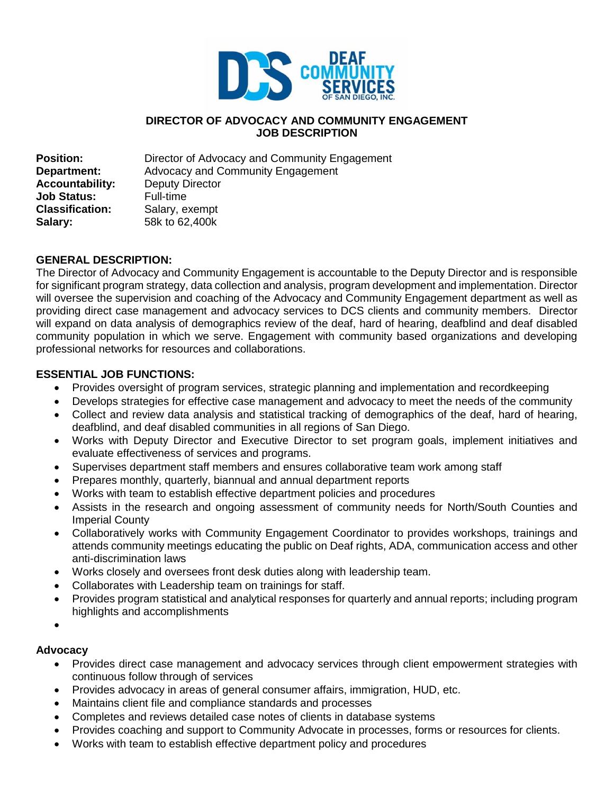

#### **DIRECTOR OF ADVOCACY AND COMMUNITY ENGAGEMENT JOB DESCRIPTION**

**Position:** Director of Advocacy and Community Engagement **Department:** Advocacy and Community Engagement **Accountability:** Deputy Director **Job Status:** Full-time **Classification:** Salary, exempt **Salary:** 58k to 62,400k

#### **GENERAL DESCRIPTION:**

The Director of Advocacy and Community Engagement is accountable to the Deputy Director and is responsible for significant program strategy, data collection and analysis, program development and implementation. Director will oversee the supervision and coaching of the Advocacy and Community Engagement department as well as providing direct case management and advocacy services to DCS clients and community members. Director will expand on data analysis of demographics review of the deaf, hard of hearing, deafblind and deaf disabled community population in which we serve. Engagement with community based organizations and developing professional networks for resources and collaborations.

### **ESSENTIAL JOB FUNCTIONS:**

- Provides oversight of program services, strategic planning and implementation and recordkeeping
- Develops strategies for effective case management and advocacy to meet the needs of the community
- Collect and review data analysis and statistical tracking of demographics of the deaf, hard of hearing, deafblind, and deaf disabled communities in all regions of San Diego.
- Works with Deputy Director and Executive Director to set program goals, implement initiatives and evaluate effectiveness of services and programs.
- Supervises department staff members and ensures collaborative team work among staff
- Prepares monthly, quarterly, biannual and annual department reports
- Works with team to establish effective department policies and procedures
- Assists in the research and ongoing assessment of community needs for North/South Counties and Imperial County
- Collaboratively works with Community Engagement Coordinator to provides workshops, trainings and attends community meetings educating the public on Deaf rights, ADA, communication access and other anti-discrimination laws
- Works closely and oversees front desk duties along with leadership team.
- Collaborates with Leadership team on trainings for staff.
- Provides program statistical and analytical responses for quarterly and annual reports; including program highlights and accomplishments
- $\bullet$

#### **Advocacy**

- Provides direct case management and advocacy services through client empowerment strategies with continuous follow through of services
- Provides advocacy in areas of general consumer affairs, immigration, HUD, etc.
- Maintains client file and compliance standards and processes
- Completes and reviews detailed case notes of clients in database systems
- Provides coaching and support to Community Advocate in processes, forms or resources for clients.
- Works with team to establish effective department policy and procedures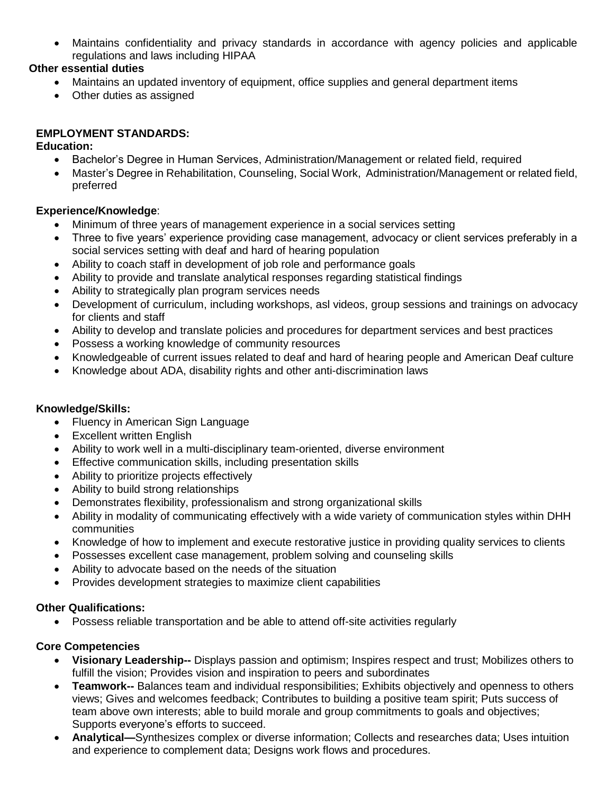Maintains confidentiality and privacy standards in accordance with agency policies and applicable regulations and laws including HIPAA

# **Other essential duties**

- Maintains an updated inventory of equipment, office supplies and general department items
- Other duties as assigned

# **EMPLOYMENT STANDARDS:**

## **Education:**

- Bachelor's Degree in Human Services, Administration/Management or related field, required
- Master's Degree in Rehabilitation, Counseling, Social Work, Administration/Management or related field, preferred

# **Experience/Knowledge**:

- Minimum of three years of management experience in a social services setting
- Three to five years' experience providing case management, advocacy or client services preferably in a social services setting with deaf and hard of hearing population
- Ability to coach staff in development of job role and performance goals
- Ability to provide and translate analytical responses regarding statistical findings
- Ability to strategically plan program services needs
- Development of curriculum, including workshops, asl videos, group sessions and trainings on advocacy for clients and staff
- Ability to develop and translate policies and procedures for department services and best practices
- Possess a working knowledge of community resources
- Knowledgeable of current issues related to deaf and hard of hearing people and American Deaf culture
- Knowledge about ADA, disability rights and other anti-discrimination laws

## **Knowledge/Skills:**

- Fluency in American Sign Language
- Excellent written English
- Ability to work well in a multi-disciplinary team-oriented, diverse environment
- Effective communication skills, including presentation skills
- Ability to prioritize projects effectively
- Ability to build strong relationships
- Demonstrates flexibility, professionalism and strong organizational skills
- Ability in modality of communicating effectively with a wide variety of communication styles within DHH communities
- Knowledge of how to implement and execute restorative justice in providing quality services to clients
- Possesses excellent case management, problem solving and counseling skills
- Ability to advocate based on the needs of the situation
- Provides development strategies to maximize client capabilities

## **Other Qualifications:**

Possess reliable transportation and be able to attend off-site activities regularly

# **Core Competencies**

- **Visionary Leadership--** Displays passion and optimism; Inspires respect and trust; Mobilizes others to fulfill the vision; Provides vision and inspiration to peers and subordinates
- **Teamwork--** Balances team and individual responsibilities; Exhibits objectively and openness to others views; Gives and welcomes feedback; Contributes to building a positive team spirit; Puts success of team above own interests; able to build morale and group commitments to goals and objectives; Supports everyone's efforts to succeed.
- **Analytical—**Synthesizes complex or diverse information; Collects and researches data; Uses intuition and experience to complement data; Designs work flows and procedures.